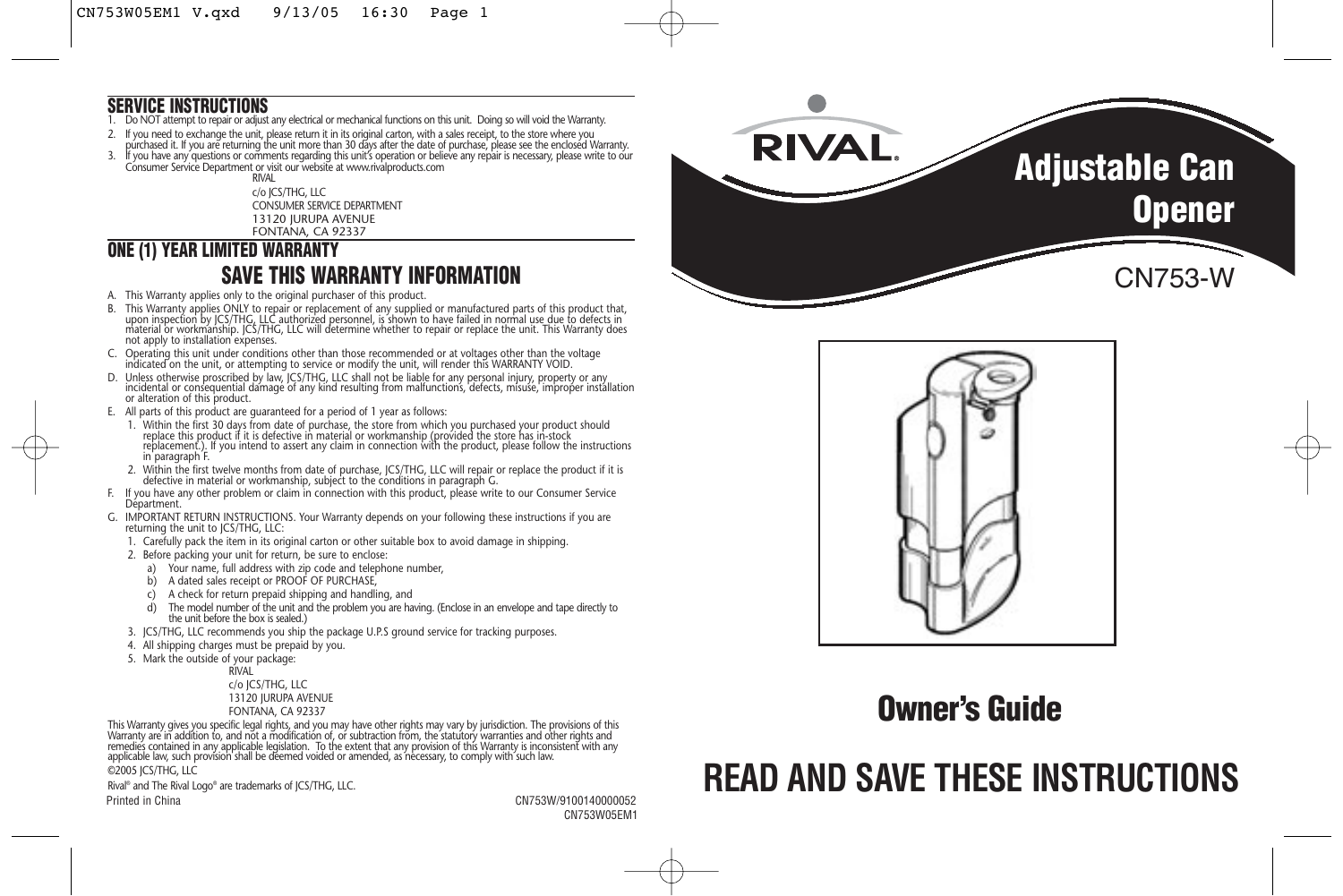### **SERVICE INSTRUCTIONS**

- 1. Do NOT attempt to repair or adjust any electrical or mechanical functions on this unit. Doing so will void the Warranty.
- 2. It you need to exchange the unit, please return it in its original carton, with a sales receipt, to the store where you<br>purchased it. If you are returning the unit more than 30 days after the date of purchase, please se
- 3. If you have any questions or comments regarding this unit's operation or believe any repair is necessary, please write to our Consumer Service Department or visit our website at www.rivalproducts.com

RIVAL c/o JCS/THG, LLC CONSUMER SERVICE DEPARTMENT 13120 JURUPA AVENUE FONTANA, CA 92337

### **ONE (1) YEAR LIMITED WARRANTY SAVE THIS WARRANTY INFORMATION**

- A. This Warranty applies only to the original purchaser of this product.
- B. This Warranty applies ONLY to repair or replacement of any supplied or manufactured parts of this product that, upon inspection by JCS/THG, LLC authorized personnel, is shown to have failed in normal use due to defects in material or workmanship. JCS/THG, LLC will determine whether to repair or replace the unit. This Warranty does not apply to installation expenses.
- C. Operating this unit under conditions other than those recommended or at voltages other than the voltage indicated on the unit, or attempting to service or modify the unit, will render this WARRANTY VOID.
- D. Unless otherwise proscribed by law, JCS/THG, LLC shall not be liable for any personal injury, property or any<br>incidental or consequential damage of any kind resulting from malfunctions, defects, misuse, improper insta or alteration of this product.
- E. All parts of this product are guaranteed for a period of 1 year as follows:
- 1. Within the first 30 days from date of purchase, the store from which you purchased your product should replace this product if it is defective in material or workmanship (provided the store has in-stock replacement.). If you intend to assert any claim in connection with the product, please follow the instructions in paragraph F.
- 2. Within the first twelve months from date of purchase, JCS/THG, LLC will repair or replace the product if it is defective in material or workmanship, subject to the conditions in paragraph G.
- F. If you have any other problem or claim in connection with this product, please write to our Consumer Service Department.
- G. IMPORTANT RETURN INSTRUCTIONS. Your Warranty depends on your following these instructions if you are returning the unit to JCS/THG, LLC:
	- 1. Carefully pack the item in its original carton or other suitable box to avoid damage in shipping.
	- 2. Before packing your unit for return, be sure to enclose:
		- a) Your name, full address with zip code and telephone number,
		- b) A dated sales receipt or PROOF OF PURCHASE,
		- c) A check for return prepaid shipping and handling, and
		- d) The model number of the unit and the problem you are having. (Enclose in an envelope and tape directly to the unit before the box is sealed.)
	- 3. JCS/THG, LLC recommends you ship the package U.P.S ground service for tracking purposes.
	- 4. All shipping charges must be prepaid by you.
	- 5. Mark the outside of your package:

RIVAL c/o JCS/THG, LLC 13120 JURUPA AVENUE FONTANA, CA 92337

This Warranty gives you specific legal rights, and you may have other rights may vary by jurisdiction. The provisions of this<br>Warranty are in addition to, and not a modification of, or subtraction from, the statutory warra remedies contained in any applicable legislation. To the extent that any provision of this Warranty is inconsistent with any<br>applicable law, such provision shall be deemed voided or amended, as necessary, to comply with s ©2005 JCS/THG, LLC

Rival® and The Rival Logo® are trademarks of JCS/THG, LLC.

Printed in China CN753W/9100140000052 CN753W05EM1





# **Owner's Guide**

# **READ AND SAVE THESE INSTRUCTIONS**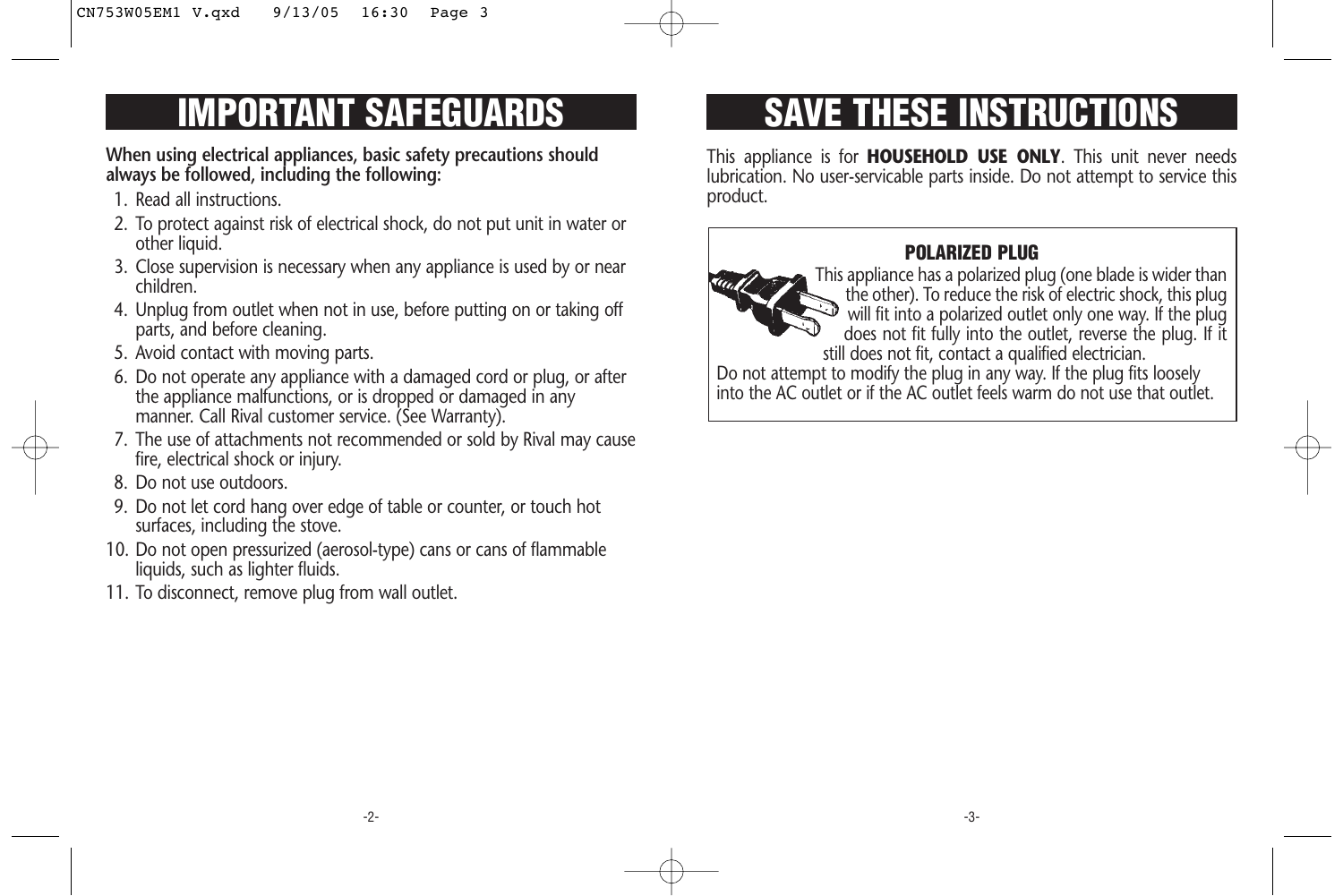# **IMPORTANT SAFEGUARDS**

**When using electrical appliances, basic safety precautions should always be followed, including the following:**

- 1. Read all instructions.
- 2. To protect against risk of electrical shock, do not put unit in water or other liquid.
- 3. Close supervision is necessary when any appliance is used by or near children.
- 4. Unplug from outlet when not in use, before putting on or taking off parts, and before cleaning.
- 5. Avoid contact with moving parts.
- 6. Do not operate any appliance with a damaged cord or plug, or after the appliance malfunctions, or is dropped or damaged in any manner. Call Rival customer service. (See Warranty).
- 7. The use of attachments not recommended or sold by Rival may cause fire, electrical shock or injury.
- 8. Do not use outdoors.
- 9. Do not let cord hang over edge of table or counter, or touch hot surfaces, including the stove.
- 10. Do not open pressurized (aerosol-type) cans or cans of flammable liquids, such as lighter fluids.
- 11. To disconnect, remove plug from wall outlet.

# **SAVE THESE INSTRUCTIONS**

This appliance is for **HOUSEHOLD USE ONLY**. This unit never needs lubrication. No user-servicable parts inside. Do not attempt to service this product.

## **POLARIZED PLUG**



This appliance has a polarized plug (one blade is wider than the other). To reduce the risk of electric shock, this plug will fit into a polarized outlet only one way. If the plug does not fit fully into the outlet, reverse the plug. If it still does not fit, contact a qualified electrician.

Do not attempt to modify the plug in any way. If the plug fits loosely into the AC outlet or if the AC outlet feels warm do not use that outlet.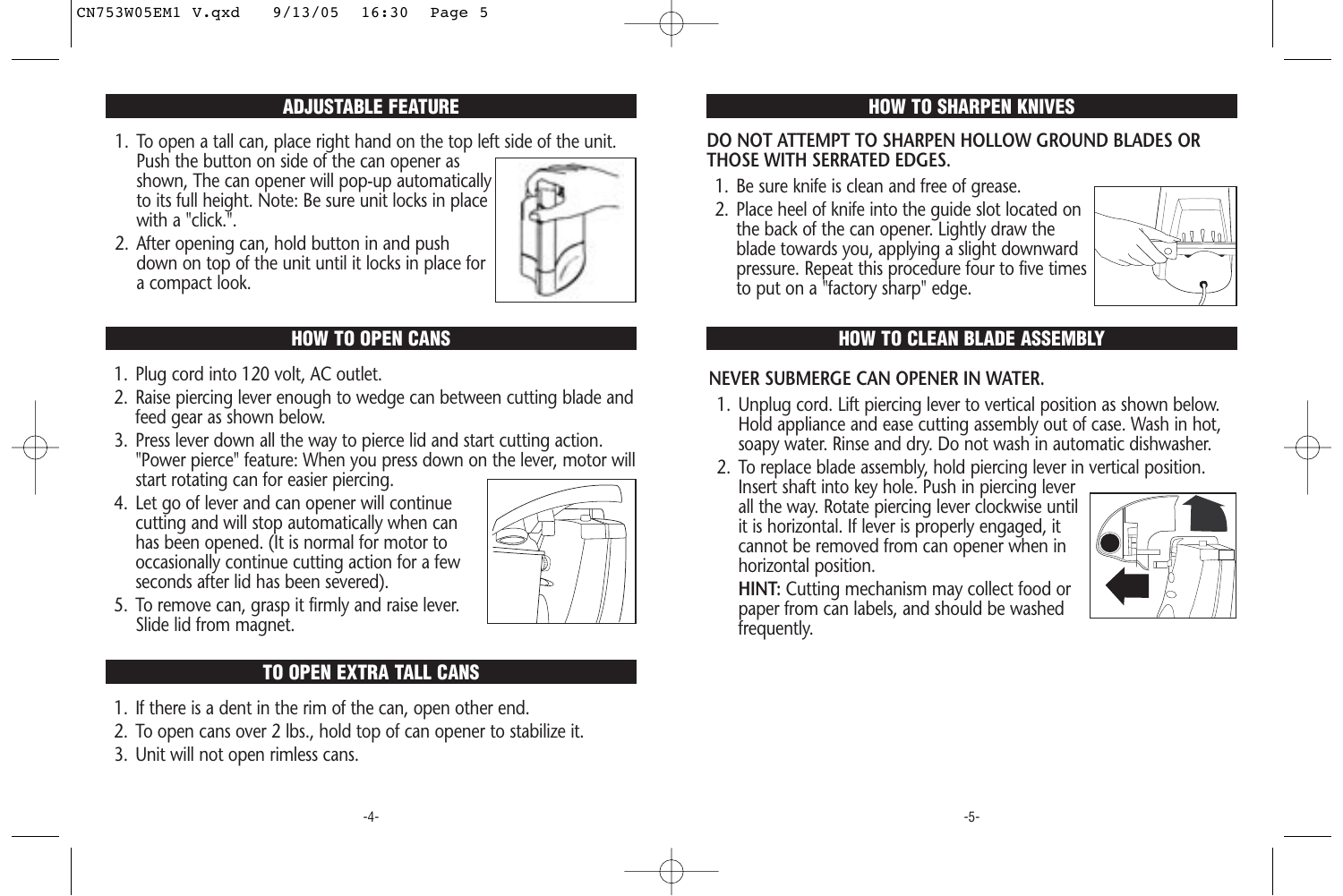### **ADJUSTABLE FEATURE**

1. To open a tall can, place right hand on the top left side of the unit.

Push the button on side of the can opener as shown, The can opener will pop-up automatically to its full height. Note: Be sure unit locks in place with a "click.".



2. After opening can, hold button in and push down on top of the unit until it locks in place for a compact look.

- 1. Plug cord into 120 volt, AC outlet.
- 2. Raise piercing lever enough to wedge can between cutting blade and feed gear as shown below.
- 3. Press lever down all the way to pierce lid and start cutting action. "Power pierce" feature: When you press down on the lever, motor will start rotating can for easier piercing.
- 4. Let go of lever and can opener will continue cutting and will stop automatically when can has been opened. (It is normal for motor to occasionally continue cutting action for a few seconds after lid has been severed).



5. To remove can, grasp it firmly and raise lever. Slide lid from magnet.

## **TO OPEN EXTRA TALL CANS**

- 1. If there is a dent in the rim of the can, open other end.
- 2. To open cans over 2 lbs., hold top of can opener to stabilize it.
- 3. Unit will not open rimless cans.

## **HOW TO SHARPEN KNIVES**

### **DO NOT ATTEMPT TO SHARPEN HOLLOW GROUND BLADES OR THOSE WITH SERRATED EDGES.**

- 1. Be sure knife is clean and free of grease.
- 2. Place heel of knife into the guide slot located on the back of the can opener. Lightly draw the blade towards you, applying a slight downward pressure. Repeat this procedure four to five times to put on a "factory sharp" edge.



### **HOW TO OPEN CANS HOW TO CLEAN BLADE ASSEMBLY**

## **NEVER SUBMERGE CAN OPENER IN WATER.**

- 1. Unplug cord. Lift piercing lever to vertical position as shown below. Hold appliance and ease cutting assembly out of case. Wash in hot, soapy water. Rinse and dry. Do not wash in automatic dishwasher.
- 2. To replace blade assembly, hold piercing lever in vertical position.

Insert shaft into key hole. Push in piercing lever all the way. Rotate piercing lever clockwise until it is horizontal. If lever is properly engaged, it cannot be removed from can opener when in horizontal position.



**HINT:** Cutting mechanism may collect food or paper from can labels, and should be washed frequently.